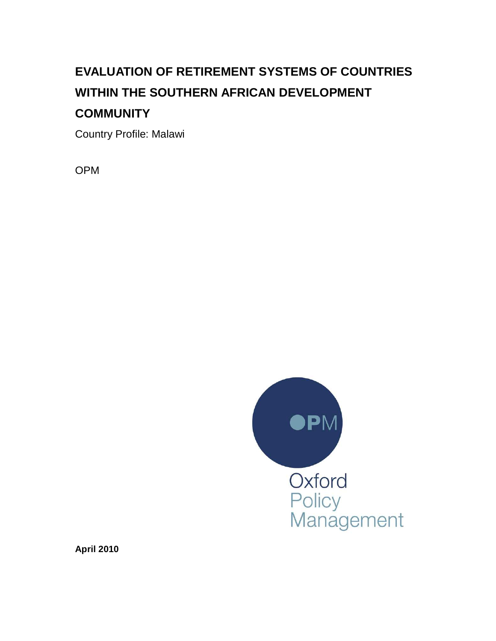# **EVALUATION OF RETIREMENT SYSTEMS OF COUNTRIES WITHIN THE SOUTHERN AFRICAN DEVELOPMENT COMMUNITY**

Country Profile: Malawi

OPM



**April 2010**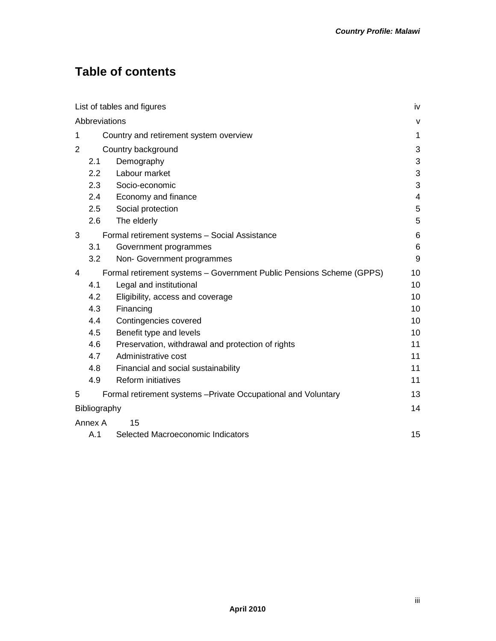## **Table of contents**

|               |                                        | List of tables and figures                                           | iv                       |  |  |  |
|---------------|----------------------------------------|----------------------------------------------------------------------|--------------------------|--|--|--|
| Abbreviations |                                        |                                                                      |                          |  |  |  |
| 1             | Country and retirement system overview |                                                                      |                          |  |  |  |
| 2             | Country background                     |                                                                      |                          |  |  |  |
|               | 2.1                                    | Demography                                                           | 3                        |  |  |  |
|               | 2.2                                    | Labour market                                                        | 3                        |  |  |  |
|               | 2.3                                    | Socio-economic                                                       | 3                        |  |  |  |
|               | 2.4                                    | Economy and finance                                                  | $\overline{\mathcal{L}}$ |  |  |  |
|               | 2.5                                    | Social protection                                                    | $\mathbf 5$              |  |  |  |
|               | 2.6                                    | The elderly                                                          | 5                        |  |  |  |
| 3             |                                        | Formal retirement systems - Social Assistance                        | 6                        |  |  |  |
|               | 3.1                                    | Government programmes                                                | 6                        |  |  |  |
|               | 3.2                                    | Non- Government programmes                                           | 9                        |  |  |  |
| 4             |                                        | Formal retirement systems - Government Public Pensions Scheme (GPPS) | 10                       |  |  |  |
|               | 4.1                                    | Legal and institutional                                              | 10                       |  |  |  |
|               | 4.2                                    | Eligibility, access and coverage                                     | 10                       |  |  |  |
|               | 4.3                                    | Financing                                                            | 10                       |  |  |  |
|               | 4.4                                    | Contingencies covered                                                | 10                       |  |  |  |
|               | 4.5                                    | Benefit type and levels                                              | 10                       |  |  |  |
|               | 4.6                                    | Preservation, withdrawal and protection of rights                    | 11                       |  |  |  |
|               | 4.7                                    | Administrative cost                                                  | 11                       |  |  |  |
|               | 4.8                                    | Financial and social sustainability                                  | 11                       |  |  |  |
|               | 4.9                                    | <b>Reform initiatives</b>                                            | 11                       |  |  |  |
| 5             |                                        | Formal retirement systems - Private Occupational and Voluntary       | 13                       |  |  |  |
|               | Bibliography                           |                                                                      | 14                       |  |  |  |
|               | Annex A                                | 15                                                                   |                          |  |  |  |
|               | A.1                                    | Selected Macroeconomic Indicators                                    | 15                       |  |  |  |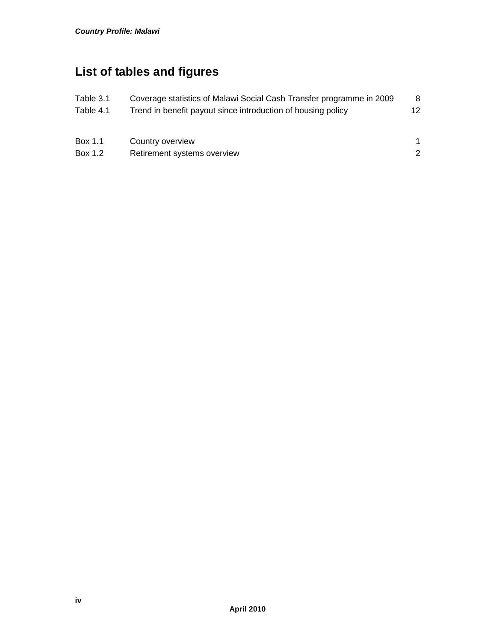## **List of tables and figures**

| Table 3.1 | Coverage statistics of Malawi Social Cash Transfer programme in 2009 | 8   |
|-----------|----------------------------------------------------------------------|-----|
| Table 4.1 | Trend in benefit payout since introduction of housing policy         | 12. |
|           |                                                                      |     |
| Box 1.1   | Country overview                                                     |     |
| Box 1.2   | Retirement systems overview                                          | 2   |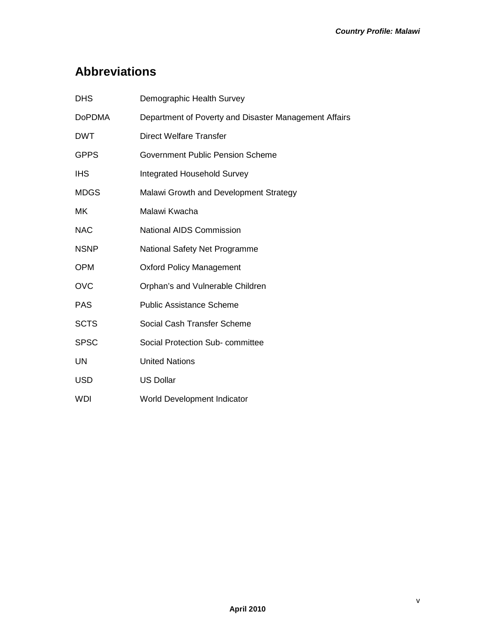## **Abbreviations**

| <b>DHS</b>    | Demographic Health Survey                             |
|---------------|-------------------------------------------------------|
| <b>DoPDMA</b> | Department of Poverty and Disaster Management Affairs |
| <b>DWT</b>    | <b>Direct Welfare Transfer</b>                        |
| <b>GPPS</b>   | Government Public Pension Scheme                      |
| <b>IHS</b>    | <b>Integrated Household Survey</b>                    |
| <b>MDGS</b>   | Malawi Growth and Development Strategy                |
| МK            | Malawi Kwacha                                         |
| <b>NAC</b>    | <b>National AIDS Commission</b>                       |
| <b>NSNP</b>   | National Safety Net Programme                         |
| <b>OPM</b>    | <b>Oxford Policy Management</b>                       |
| <b>OVC</b>    | Orphan's and Vulnerable Children                      |
| <b>PAS</b>    | <b>Public Assistance Scheme</b>                       |
| <b>SCTS</b>   | Social Cash Transfer Scheme                           |
| <b>SPSC</b>   | Social Protection Sub-committee                       |
| <b>UN</b>     | <b>United Nations</b>                                 |
| <b>USD</b>    | <b>US Dollar</b>                                      |
| WDI           | World Development Indicator                           |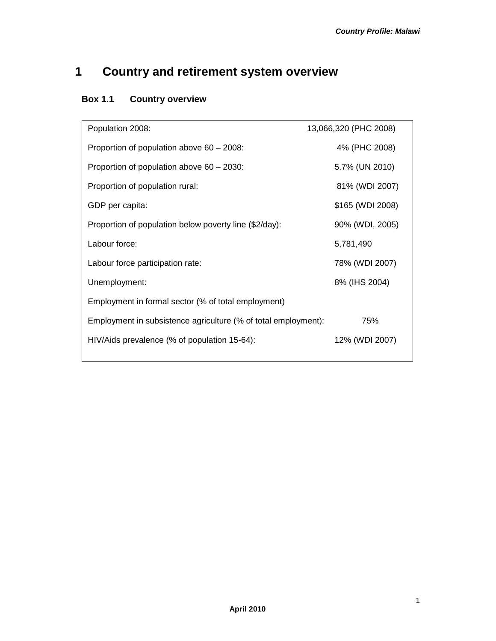## **1 Country and retirement system overview**

## **Box 1.1 Country overview**

| Population 2008:                                               | 13,066,320 (PHC 2008) |  |  |  |
|----------------------------------------------------------------|-----------------------|--|--|--|
| Proportion of population above 60 - 2008:                      | 4% (PHC 2008)         |  |  |  |
| Proportion of population above $60 - 2030$ :                   | 5.7% (UN 2010)        |  |  |  |
| Proportion of population rural:                                | 81% (WDI 2007)        |  |  |  |
| GDP per capita:                                                | \$165 (WDI 2008)      |  |  |  |
| Proportion of population below poverty line (\$2/day):         | 90% (WDI, 2005)       |  |  |  |
| Labour force:                                                  | 5,781,490             |  |  |  |
| Labour force participation rate:                               | 78% (WDI 2007)        |  |  |  |
| Unemployment:                                                  | 8% (IHS 2004)         |  |  |  |
| Employment in formal sector (% of total employment)            |                       |  |  |  |
| Employment in subsistence agriculture (% of total employment): | 75%                   |  |  |  |
| HIV/Aids prevalence (% of population 15-64):                   | 12% (WDI 2007)        |  |  |  |
|                                                                |                       |  |  |  |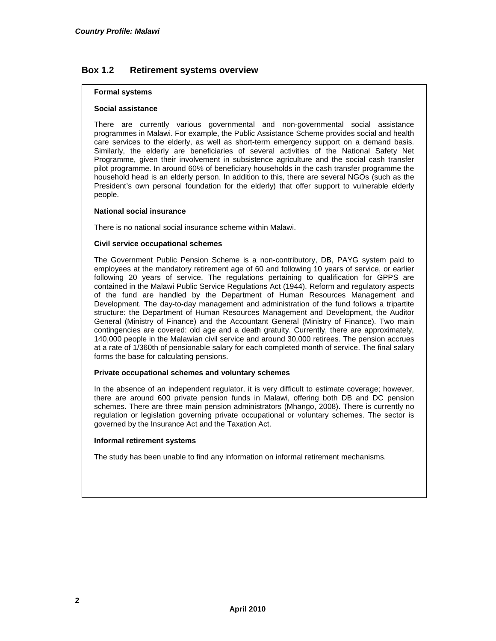#### **Box 1.2 Retirement systems overview**

#### **Formal systems**

#### **Social assistance**

There are currently various governmental and non-governmental social assistance programmes in Malawi. For example, the Public Assistance Scheme provides social and health care services to the elderly, as well as short-term emergency support on a demand basis. Similarly, the elderly are beneficiaries of several activities of the National Safety Net Programme, given their involvement in subsistence agriculture and the social cash transfer pilot programme. In around 60% of beneficiary households in the cash transfer programme the household head is an elderly person. In addition to this, there are several NGOs (such as the President's own personal foundation for the elderly) that offer support to vulnerable elderly people.

#### **National social insurance**

There is no national social insurance scheme within Malawi.

#### **Civil service occupational schemes**

The Government Public Pension Scheme is a non-contributory, DB, PAYG system paid to employees at the mandatory retirement age of 60 and following 10 years of service, or earlier following 20 years of service. The regulations pertaining to qualification for GPPS are contained in the Malawi Public Service Regulations Act (1944). Reform and regulatory aspects of the fund are handled by the Department of Human Resources Management and Development. The day-to-day management and administration of the fund follows a tripartite structure: the Department of Human Resources Management and Development, the Auditor General (Ministry of Finance) and the Accountant General (Ministry of Finance). Two main contingencies are covered: old age and a death gratuity. Currently, there are approximately, 140,000 people in the Malawian civil service and around 30,000 retirees. The pension accrues at a rate of 1/360th of pensionable salary for each completed month of service. The final salary forms the base for calculating pensions.

#### **Private occupational schemes and voluntary schemes**

In the absence of an independent regulator, it is very difficult to estimate coverage; however, there are around 600 private pension funds in Malawi, offering both DB and DC pension schemes. There are three main pension administrators (Mhango, 2008). There is currently no regulation or legislation governing private occupational or voluntary schemes. The sector is governed by the Insurance Act and the Taxation Act.

#### **Informal retirement systems**

The study has been unable to find any information on informal retirement mechanisms.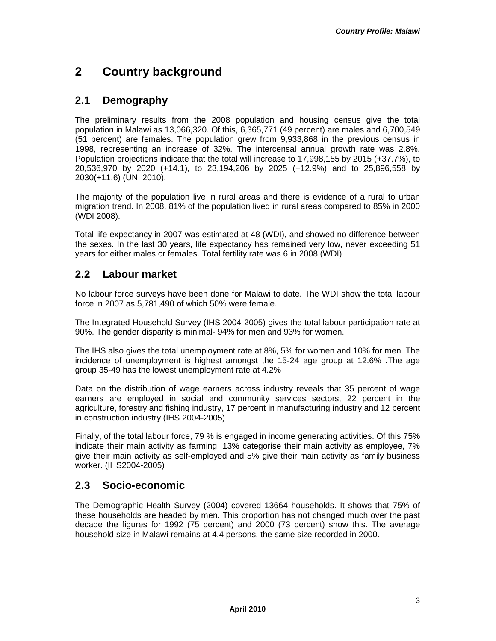## **2 Country background**

## **2.1 Demography**

The preliminary results from the 2008 population and housing census give the total population in Malawi as 13,066,320. Of this, 6,365,771 (49 percent) are males and 6,700,549 (51 percent) are females. The population grew from 9,933,868 in the previous census in 1998, representing an increase of 32%. The intercensal annual growth rate was 2.8%. Population projections indicate that the total will increase to 17,998,155 by 2015 (+37.7%), to 20,536,970 by 2020 (+14.1), to 23,194,206 by 2025 (+12.9%) and to 25,896,558 by 2030(+11.6) (UN, 2010).

The majority of the population live in rural areas and there is evidence of a rural to urban migration trend. In 2008, 81% of the population lived in rural areas compared to 85% in 2000 (WDI 2008).

Total life expectancy in 2007 was estimated at 48 (WDI), and showed no difference between the sexes. In the last 30 years, life expectancy has remained very low, never exceeding 51 years for either males or females. Total fertility rate was 6 in 2008 (WDI)

## **2.2 Labour market**

No labour force surveys have been done for Malawi to date. The WDI show the total labour force in 2007 as 5,781,490 of which 50% were female.

The Integrated Household Survey (IHS 2004-2005) gives the total labour participation rate at 90%. The gender disparity is minimal- 94% for men and 93% for women.

The IHS also gives the total unemployment rate at 8%, 5% for women and 10% for men. The incidence of unemployment is highest amongst the 15-24 age group at 12.6% .The age group 35-49 has the lowest unemployment rate at 4.2%

Data on the distribution of wage earners across industry reveals that 35 percent of wage earners are employed in social and community services sectors, 22 percent in the agriculture, forestry and fishing industry, 17 percent in manufacturing industry and 12 percent in construction industry (IHS 2004-2005)

Finally, of the total labour force, 79 % is engaged in income generating activities. Of this 75% indicate their main activity as farming, 13% categorise their main activity as employee, 7% give their main activity as self-employed and 5% give their main activity as family business worker. (IHS2004-2005)

## **2.3 Socio-economic**

The Demographic Health Survey (2004) covered 13664 households. It shows that 75% of these households are headed by men. This proportion has not changed much over the past decade the figures for 1992 (75 percent) and 2000 (73 percent) show this. The average household size in Malawi remains at 4.4 persons, the same size recorded in 2000.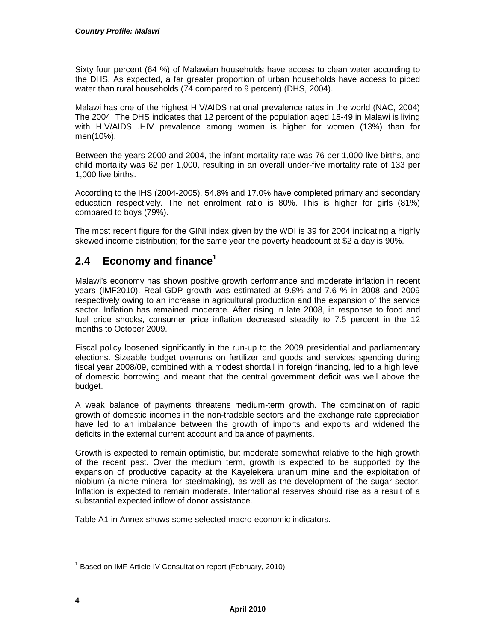Sixty four percent (64 %) of Malawian households have access to clean water according to the DHS. As expected, a far greater proportion of urban households have access to piped water than rural households (74 compared to 9 percent) (DHS, 2004).

Malawi has one of the highest HIV/AIDS national prevalence rates in the world (NAC, 2004) The 2004 The DHS indicates that 12 percent of the population aged 15-49 in Malawi is living with HIV/AIDS .HIV prevalence among women is higher for women (13%) than for men(10%).

Between the years 2000 and 2004, the infant mortality rate was 76 per 1,000 live births, and child mortality was 62 per 1,000, resulting in an overall under-five mortality rate of 133 per 1,000 live births.

According to the IHS (2004-2005), 54.8% and 17.0% have completed primary and secondary education respectively. The net enrolment ratio is 80%. This is higher for girls (81%) compared to boys (79%).

The most recent figure for the GINI index given by the WDI is 39 for 2004 indicating a highly skewed income distribution; for the same year the poverty headcount at \$2 a day is 90%.

## **2.4 Economy and finance<sup>1</sup>**

Malawi's economy has shown positive growth performance and moderate inflation in recent years (IMF2010). Real GDP growth was estimated at 9.8% and 7.6 % in 2008 and 2009 respectively owing to an increase in agricultural production and the expansion of the service sector. Inflation has remained moderate. After rising in late 2008, in response to food and fuel price shocks, consumer price inflation decreased steadily to 7.5 percent in the 12 months to October 2009.

Fiscal policy loosened significantly in the run-up to the 2009 presidential and parliamentary elections. Sizeable budget overruns on fertilizer and goods and services spending during fiscal year 2008/09, combined with a modest shortfall in foreign financing, led to a high level of domestic borrowing and meant that the central government deficit was well above the budget.

A weak balance of payments threatens medium-term growth. The combination of rapid growth of domestic incomes in the non-tradable sectors and the exchange rate appreciation have led to an imbalance between the growth of imports and exports and widened the deficits in the external current account and balance of payments.

Growth is expected to remain optimistic, but moderate somewhat relative to the high growth of the recent past. Over the medium term, growth is expected to be supported by the expansion of productive capacity at the Kayelekera uranium mine and the exploitation of niobium (a niche mineral for steelmaking), as well as the development of the sugar sector. Inflation is expected to remain moderate. International reserves should rise as a result of a substantial expected inflow of donor assistance.

Table A1 in Annex shows some selected macro-economic indicators.

 $\overline{\phantom{a}}$ <sup>1</sup> Based on IMF Article IV Consultation report (February, 2010)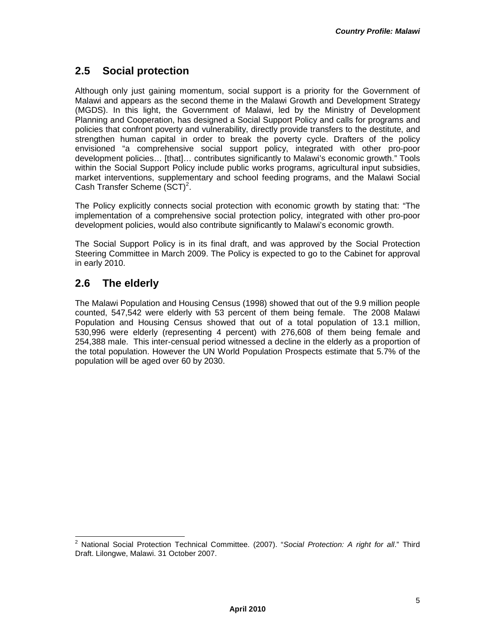## **2.5 Social protection**

Although only just gaining momentum, social support is a priority for the Government of Malawi and appears as the second theme in the Malawi Growth and Development Strategy (MGDS). In this light, the Government of Malawi, led by the Ministry of Development Planning and Cooperation, has designed a Social Support Policy and calls for programs and policies that confront poverty and vulnerability, directly provide transfers to the destitute, and strengthen human capital in order to break the poverty cycle. Drafters of the policy envisioned "a comprehensive social support policy, integrated with other pro-poor development policies… [that]… contributes significantly to Malawi's economic growth." Tools within the Social Support Policy include public works programs, agricultural input subsidies, market interventions, supplementary and school feeding programs, and the Malawi Social Cash Transfer Scheme  $(\text{SCT})^2$ .

The Policy explicitly connects social protection with economic growth by stating that: "The implementation of a comprehensive social protection policy, integrated with other pro-poor development policies, would also contribute significantly to Malawi's economic growth.

The Social Support Policy is in its final draft, and was approved by the Social Protection Steering Committee in March 2009. The Policy is expected to go to the Cabinet for approval in early 2010.

## **2.6 The elderly**

The Malawi Population and Housing Census (1998) showed that out of the 9.9 million people counted, 547,542 were elderly with 53 percent of them being female. The 2008 Malawi Population and Housing Census showed that out of a total population of 13.1 million, 530,996 were elderly (representing 4 percent) with 276,608 of them being female and 254,388 male. This inter-censual period witnessed a decline in the elderly as a proportion of the total population. However the UN World Population Prospects estimate that 5.7% of the population will be aged over 60 by 2030.

l <sup>2</sup> National Social Protection Technical Committee. (2007). "Social Protection: A right for all." Third Draft. Lilongwe, Malawi. 31 October 2007.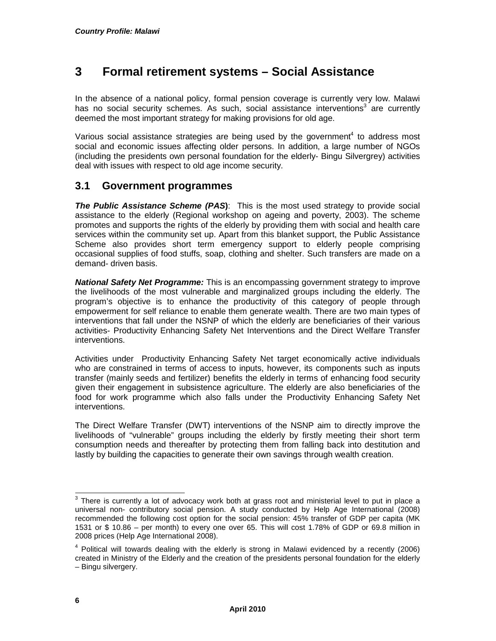## **3 Formal retirement systems – Social Assistance**

In the absence of a national policy, formal pension coverage is currently very low. Malawi has no social security schemes. As such, social assistance interventions<sup>3</sup> are currently deemed the most important strategy for making provisions for old age.

Various social assistance strategies are being used by the government $4$  to address most social and economic issues affecting older persons. In addition, a large number of NGOs (including the presidents own personal foundation for the elderly- Bingu Silvergrey) activities deal with issues with respect to old age income security.

### **3.1 Government programmes**

**The Public Assistance Scheme (PAS)**: This is the most used strategy to provide social assistance to the elderly (Regional workshop on ageing and poverty, 2003). The scheme promotes and supports the rights of the elderly by providing them with social and health care services within the community set up. Apart from this blanket support, the Public Assistance Scheme also provides short term emergency support to elderly people comprising occasional supplies of food stuffs, soap, clothing and shelter. Such transfers are made on a demand- driven basis.

**National Safety Net Programme:** This is an encompassing government strategy to improve the livelihoods of the most vulnerable and marginalized groups including the elderly. The program's objective is to enhance the productivity of this category of people through empowerment for self reliance to enable them generate wealth. There are two main types of interventions that fall under the NSNP of which the elderly are beneficiaries of their various activities- Productivity Enhancing Safety Net Interventions and the Direct Welfare Transfer interventions.

Activities under Productivity Enhancing Safety Net target economically active individuals who are constrained in terms of access to inputs, however, its components such as inputs transfer (mainly seeds and fertilizer) benefits the elderly in terms of enhancing food security given their engagement in subsistence agriculture. The elderly are also beneficiaries of the food for work programme which also falls under the Productivity Enhancing Safety Net interventions.

The Direct Welfare Transfer (DWT) interventions of the NSNP aim to directly improve the livelihoods of "vulnerable" groups including the elderly by firstly meeting their short term consumption needs and thereafter by protecting them from falling back into destitution and lastly by building the capacities to generate their own savings through wealth creation.

 $\frac{3}{3}$  There is currently a lot of advocacy work both at grass root and ministerial level to put in place a universal non- contributory social pension. A study conducted by Help Age International (2008) recommended the following cost option for the social pension: 45% transfer of GDP per capita (MK 1531 or \$ 10.86 – per month) to every one over 65. This will cost 1.78% of GDP or 69.8 million in 2008 prices (Help Age International 2008).

 $4$  Political will towards dealing with the elderly is strong in Malawi evidenced by a recently (2006) created in Ministry of the Elderly and the creation of the presidents personal foundation for the elderly – Bingu silvergery.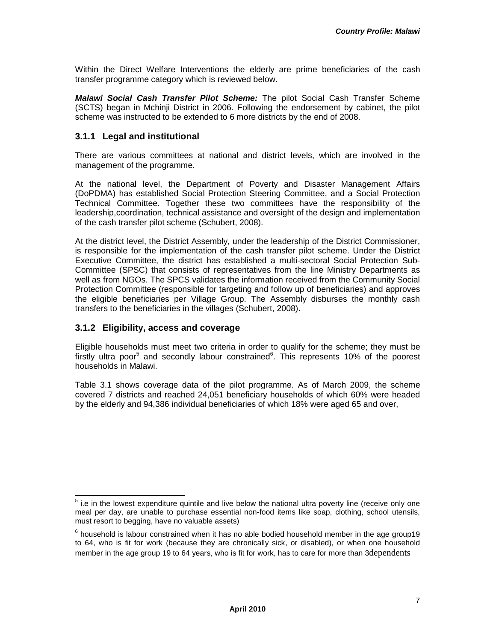Within the Direct Welfare Interventions the elderly are prime beneficiaries of the cash transfer programme category which is reviewed below.

**Malawi Social Cash Transfer Pilot Scheme:** The pilot Social Cash Transfer Scheme (SCTS) began in Mchinji District in 2006. Following the endorsement by cabinet, the pilot scheme was instructed to be extended to 6 more districts by the end of 2008.

#### **3.1.1 Legal and institutional**

There are various committees at national and district levels, which are involved in the management of the programme.

At the national level, the Department of Poverty and Disaster Management Affairs (DoPDMA) has established Social Protection Steering Committee, and a Social Protection Technical Committee. Together these two committees have the responsibility of the leadership,coordination, technical assistance and oversight of the design and implementation of the cash transfer pilot scheme (Schubert, 2008).

At the district level, the District Assembly, under the leadership of the District Commissioner, is responsible for the implementation of the cash transfer pilot scheme. Under the District Executive Committee, the district has established a multi-sectoral Social Protection Sub-Committee (SPSC) that consists of representatives from the line Ministry Departments as well as from NGOs. The SPCS validates the information received from the Community Social Protection Committee (responsible for targeting and follow up of beneficiaries) and approves the eligible beneficiaries per Village Group. The Assembly disburses the monthly cash transfers to the beneficiaries in the villages (Schubert, 2008).

#### **3.1.2 Eligibility, access and coverage**

Eligible households must meet two criteria in order to qualify for the scheme; they must be firstly ultra poor<sup>5</sup> and secondly labour constrained<sup>6</sup>. This represents 10% of the poorest households in Malawi.

Table 3.1 shows coverage data of the pilot programme. As of March 2009, the scheme covered 7 districts and reached 24,051 beneficiary households of which 60% were headed by the elderly and 94,386 individual beneficiaries of which 18% were aged 65 and over,

 5 i.e in the lowest expenditure quintile and live below the national ultra poverty line (receive only one meal per day, are unable to purchase essential non-food items like soap, clothing, school utensils, must resort to begging, have no valuable assets)

 $^6$  household is labour constrained when it has no able bodied household member in the age group19 to 64, who is fit for work (because they are chronically sick, or disabled), or when one household member in the age group 19 to 64 years, who is fit for work, has to care for more than 3dependents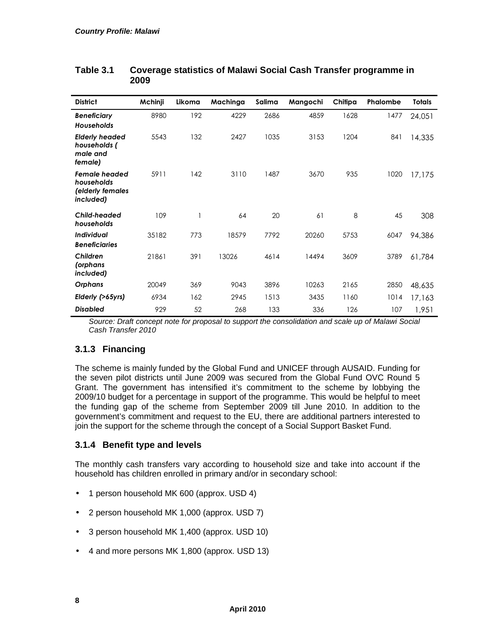| <b>District</b>                                                     | Mchinji | Likoma | Machinga | Salima | Mangochi | Chitipa | Phalombe | <b>Totals</b> |
|---------------------------------------------------------------------|---------|--------|----------|--------|----------|---------|----------|---------------|
| <b>Beneficiary</b><br><b>Households</b>                             | 8980    | 192    | 4229     | 2686   | 4859     | 1628    | 1477     | 24,051        |
| <b>Elderly headed</b><br>households (<br>male and<br>female)        | 5543    | 132    | 2427     | 1035   | 3153     | 1204    | 841      | 14,335        |
| <b>Female headed</b><br>households<br>(elderly females<br>included) | 5911    | 142    | 3110     | 1487   | 3670     | 935     | 1020     | 17,175        |
| Child-headed<br>households                                          | 109     |        | 64       | 20     | 61       | 8       | 45       | 308           |
| <b>Individual</b><br><b>Beneficiaries</b>                           | 35182   | 773    | 18579    | 7792   | 20260    | 5753    | 6047     | 94,386        |
| Children<br>(orphans<br>included)                                   | 21861   | 391    | 13026    | 4614   | 14494    | 3609    | 3789     | 61,784        |
| Orphans                                                             | 20049   | 369    | 9043     | 3896   | 10263    | 2165    | 2850     | 48,635        |
| Elderly (>65yrs)                                                    | 6934    | 162    | 2945     | 1513   | 3435     | 1160    | 1014     | 17,163        |
| <b>Disabled</b>                                                     | 929     | 52     | 268      | 133    | 336      | 126     | 107      | 1,951         |

### **Table 3.1 Coverage statistics of Malawi Social Cash Transfer programme in 2009**

Source: Draft concept note for proposal to support the consolidation and scale up of Malawi Social Cash Transfer 2010

## **3.1.3 Financing**

The scheme is mainly funded by the Global Fund and UNICEF through AUSAID. Funding for the seven pilot districts until June 2009 was secured from the Global Fund OVC Round 5 Grant. The government has intensified it's commitment to the scheme by lobbying the 2009/10 budget for a percentage in support of the programme. This would be helpful to meet the funding gap of the scheme from September 2009 till June 2010. In addition to the government's commitment and request to the EU, there are additional partners interested to join the support for the scheme through the concept of a Social Support Basket Fund.

### **3.1.4 Benefit type and levels**

The monthly cash transfers vary according to household size and take into account if the household has children enrolled in primary and/or in secondary school:

- 1 person household MK 600 (approx. USD 4)
- 2 person household MK 1,000 (approx. USD 7)
- 3 person household MK 1,400 (approx. USD 10)
- 4 and more persons MK 1,800 (approx. USD 13)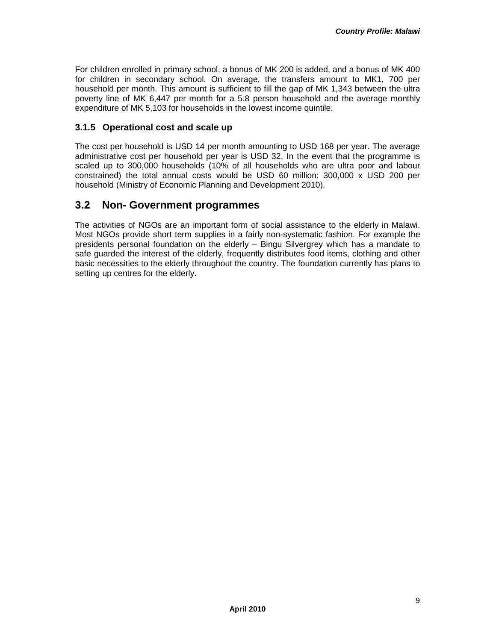For children enrolled in primary school, a bonus of MK 200 is added, and a bonus of MK 400 for children in secondary school. On average, the transfers amount to MK1, 700 per household per month. This amount is sufficient to fill the gap of MK 1,343 between the ultra poverty line of MK 6,447 per month for a 5.8 person household and the average monthly expenditure of MK 5,103 for households in the lowest income quintile.

#### **3.1.5 Operational cost and scale up**

The cost per household is USD 14 per month amounting to USD 168 per year. The average administrative cost per household per year is USD 32. In the event that the programme is scaled up to 300,000 households (10% of all households who are ultra poor and labour constrained) the total annual costs would be USD 60 million: 300,000 x USD 200 per household (Ministry of Economic Planning and Development 2010).

### **3.2 Non- Government programmes**

The activities of NGOs are an important form of social assistance to the elderly in Malawi. Most NGOs provide short term supplies in a fairly non-systematic fashion. For example the presidents personal foundation on the elderly – Bingu Silvergrey which has a mandate to safe guarded the interest of the elderly, frequently distributes food items, clothing and other basic necessities to the elderly throughout the country. The foundation currently has plans to setting up centres for the elderly.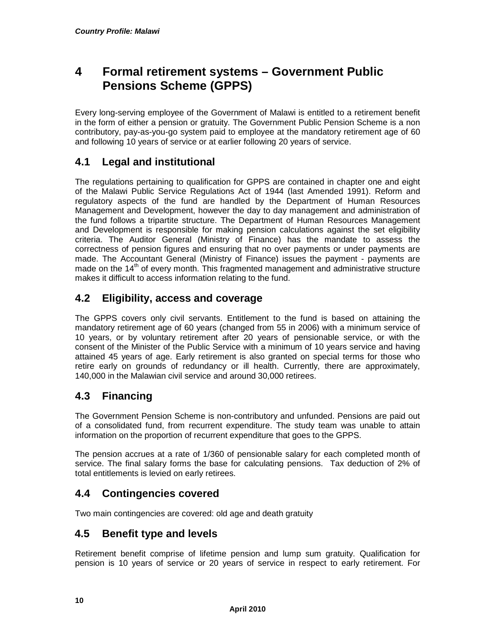## **4 Formal retirement systems – Government Public Pensions Scheme (GPPS)**

Every long-serving employee of the Government of Malawi is entitled to a retirement benefit in the form of either a pension or gratuity. The Government Public Pension Scheme is a non contributory, pay-as-you-go system paid to employee at the mandatory retirement age of 60 and following 10 years of service or at earlier following 20 years of service.

## **4.1 Legal and institutional**

The regulations pertaining to qualification for GPPS are contained in chapter one and eight of the Malawi Public Service Regulations Act of 1944 (last Amended 1991). Reform and regulatory aspects of the fund are handled by the Department of Human Resources Management and Development, however the day to day management and administration of the fund follows a tripartite structure. The Department of Human Resources Management and Development is responsible for making pension calculations against the set eligibility criteria. The Auditor General (Ministry of Finance) has the mandate to assess the correctness of pension figures and ensuring that no over payments or under payments are made. The Accountant General (Ministry of Finance) issues the payment - payments are made on the 14<sup>th</sup> of every month. This fragmented management and administrative structure makes it difficult to access information relating to the fund.

## **4.2 Eligibility, access and coverage**

The GPPS covers only civil servants. Entitlement to the fund is based on attaining the mandatory retirement age of 60 years (changed from 55 in 2006) with a minimum service of 10 years, or by voluntary retirement after 20 years of pensionable service, or with the consent of the Minister of the Public Service with a minimum of 10 years service and having attained 45 years of age. Early retirement is also granted on special terms for those who retire early on grounds of redundancy or ill health. Currently, there are approximately, 140,000 in the Malawian civil service and around 30,000 retirees.

## **4.3 Financing**

The Government Pension Scheme is non-contributory and unfunded. Pensions are paid out of a consolidated fund, from recurrent expenditure. The study team was unable to attain information on the proportion of recurrent expenditure that goes to the GPPS.

The pension accrues at a rate of 1/360 of pensionable salary for each completed month of service. The final salary forms the base for calculating pensions. Tax deduction of 2% of total entitlements is levied on early retirees.

## **4.4 Contingencies covered**

Two main contingencies are covered: old age and death gratuity

## **4.5 Benefit type and levels**

Retirement benefit comprise of lifetime pension and lump sum gratuity. Qualification for pension is 10 years of service or 20 years of service in respect to early retirement. For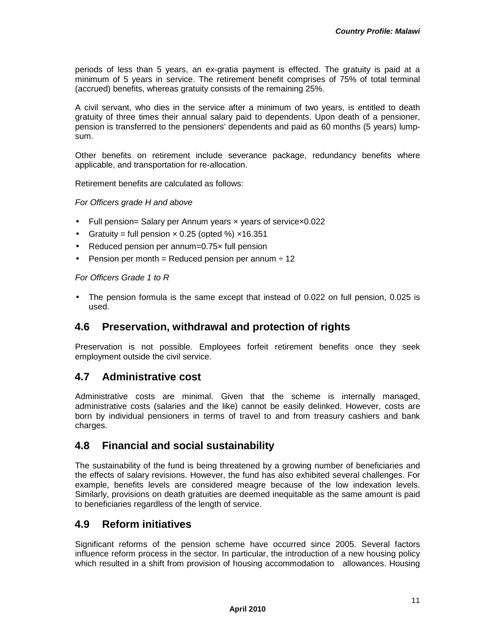periods of less than 5 years, an ex-gratia payment is effected. The gratuity is paid at a minimum of 5 years in service. The retirement benefit comprises of 75% of total terminal (accrued) benefits, whereas gratuity consists of the remaining 25%.

A civil servant, who dies in the service after a minimum of two years, is entitled to death gratuity of three times their annual salary paid to dependents. Upon death of a pensioner, pension is transferred to the pensioners' dependents and paid as 60 months (5 years) lumpsum.

Other benefits on retirement include severance package, redundancy benefits where applicable, and transportation for re-allocation.

Retirement benefits are calculated as follows:

For Officers grade H and above

- Full pension= Salary per Annum years x years of servicex0.022
- Gratuity = full pension  $\times$  0.25 (opted %)  $\times$ 16.351
- Reduced pension per annum=0.75x full pension
- Pension per month = Reduced pension per annum  $\div$  12

For Officers Grade 1 to R

• The pension formula is the same except that instead of 0.022 on full pension, 0.025 is used.

### **4.6 Preservation, withdrawal and protection of rights**

Preservation is not possible. Employees forfeit retirement benefits once they seek employment outside the civil service.

### **4.7 Administrative cost**

Administrative costs are minimal. Given that the scheme is internally managed, administrative costs (salaries and the like) cannot be easily delinked. However, costs are born by individual pensioners in terms of travel to and from treasury cashiers and bank charges.

### **4.8 Financial and social sustainability**

The sustainability of the fund is being threatened by a growing number of beneficiaries and the effects of salary revisions. However, the fund has also exhibited several challenges. For example, benefits levels are considered meagre because of the low indexation levels. Similarly, provisions on death gratuities are deemed inequitable as the same amount is paid to beneficiaries regardless of the length of service.

### **4.9 Reform initiatives**

Significant reforms of the pension scheme have occurred since 2005. Several factors influence reform process in the sector. In particular, the introduction of a new housing policy which resulted in a shift from provision of housing accommodation to allowances. Housing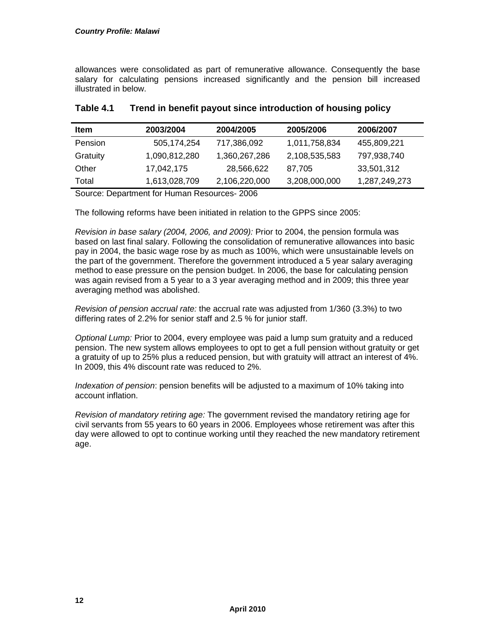allowances were consolidated as part of remunerative allowance. Consequently the base salary for calculating pensions increased significantly and the pension bill increased illustrated in below.

| <b>Item</b>    | 2003/2004     | 2004/2005     | 2005/2006     | 2006/2007     |
|----------------|---------------|---------------|---------------|---------------|
| <b>Pension</b> | 505,174,254   | 717,386,092   | 1,011,758,834 | 455,809,221   |
| Gratuity       | 1,090,812,280 | 1,360,267,286 | 2,108,535,583 | 797,938,740   |
| Other          | 17.042.175    | 28,566,622    | 87.705        | 33,501,312    |
| Total          | 1,613,028,709 | 2,106,220,000 | 3,208,000,000 | 1,287,249,273 |

### **Table 4.1 Trend in benefit payout since introduction of housing policy**

Source: Department for Human Resources- 2006

The following reforms have been initiated in relation to the GPPS since 2005:

Revision in base salary (2004, 2006, and 2009): Prior to 2004, the pension formula was based on last final salary. Following the consolidation of remunerative allowances into basic pay in 2004, the basic wage rose by as much as 100%, which were unsustainable levels on the part of the government. Therefore the government introduced a 5 year salary averaging method to ease pressure on the pension budget. In 2006, the base for calculating pension was again revised from a 5 year to a 3 year averaging method and in 2009; this three year averaging method was abolished.

Revision of pension accrual rate: the accrual rate was adjusted from 1/360 (3.3%) to two differing rates of 2.2% for senior staff and 2.5 % for junior staff.

Optional Lump: Prior to 2004, every employee was paid a lump sum gratuity and a reduced pension. The new system allows employees to opt to get a full pension without gratuity or get a gratuity of up to 25% plus a reduced pension, but with gratuity will attract an interest of 4%. In 2009, this 4% discount rate was reduced to 2%.

Indexation of pension: pension benefits will be adjusted to a maximum of 10% taking into account inflation.

Revision of mandatory retiring age: The government revised the mandatory retiring age for civil servants from 55 years to 60 years in 2006. Employees whose retirement was after this day were allowed to opt to continue working until they reached the new mandatory retirement age.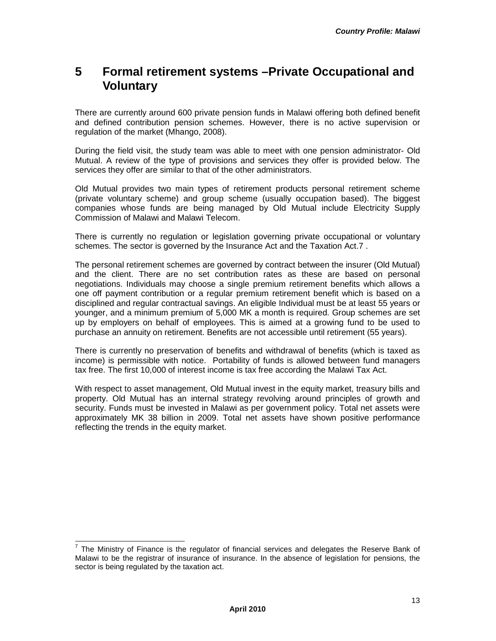## **5 Formal retirement systems –Private Occupational and Voluntary**

There are currently around 600 private pension funds in Malawi offering both defined benefit and defined contribution pension schemes. However, there is no active supervision or regulation of the market (Mhango, 2008).

During the field visit, the study team was able to meet with one pension administrator- Old Mutual. A review of the type of provisions and services they offer is provided below. The services they offer are similar to that of the other administrators.

Old Mutual provides two main types of retirement products personal retirement scheme (private voluntary scheme) and group scheme (usually occupation based). The biggest companies whose funds are being managed by Old Mutual include Electricity Supply Commission of Malawi and Malawi Telecom.

There is currently no regulation or legislation governing private occupational or voluntary schemes. The sector is governed by the Insurance Act and the Taxation Act.7 .

The personal retirement schemes are governed by contract between the insurer (Old Mutual) and the client. There are no set contribution rates as these are based on personal negotiations. Individuals may choose a single premium retirement benefits which allows a one off payment contribution or a regular premium retirement benefit which is based on a disciplined and regular contractual savings. An eligible Individual must be at least 55 years or younger, and a minimum premium of 5,000 MK a month is required. Group schemes are set up by employers on behalf of employees. This is aimed at a growing fund to be used to purchase an annuity on retirement. Benefits are not accessible until retirement (55 years).

There is currently no preservation of benefits and withdrawal of benefits (which is taxed as income) is permissible with notice. Portability of funds is allowed between fund managers tax free. The first 10,000 of interest income is tax free according the Malawi Tax Act.

With respect to asset management. Old Mutual invest in the equity market, treasury bills and property. Old Mutual has an internal strategy revolving around principles of growth and security. Funds must be invested in Malawi as per government policy. Total net assets were approximately MK 38 billion in 2009. Total net assets have shown positive performance reflecting the trends in the equity market.

l  $<sup>7</sup>$  The Ministry of Finance is the regulator of financial services and delegates the Reserve Bank of</sup> Malawi to be the registrar of insurance of insurance. In the absence of legislation for pensions, the sector is being regulated by the taxation act.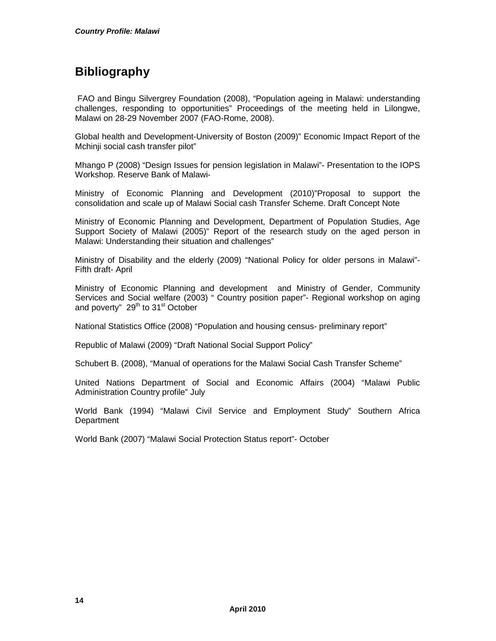## **Bibliography**

 FAO and Bingu Silvergrey Foundation (2008), "Population ageing in Malawi: understanding challenges, responding to opportunities" Proceedings of the meeting held in Lilongwe, Malawi on 28-29 November 2007 (FAO-Rome, 2008).

Global health and Development-University of Boston (2009)" Economic Impact Report of the Mchinji social cash transfer pilot"

Mhango P (2008) "Design Issues for pension legislation in Malawi"- Presentation to the IOPS Workshop. Reserve Bank of Malawi-

Ministry of Economic Planning and Development (2010)"Proposal to support the consolidation and scale up of Malawi Social cash Transfer Scheme. Draft Concept Note

Ministry of Economic Planning and Development, Department of Population Studies, Age Support Society of Malawi (2005)" Report of the research study on the aged person in Malawi: Understanding their situation and challenges"

Ministry of Disability and the elderly (2009) "National Policy for older persons in Malawi"- Fifth draft- April

Ministry of Economic Planning and development and Ministry of Gender, Community Services and Social welfare (2003) " Country position paper"- Regional workshop on aging and poverty"  $29<sup>th</sup>$  to  $31<sup>st</sup>$  October

National Statistics Office (2008) "Population and housing census- preliminary report"

Republic of Malawi (2009) "Draft National Social Support Policy"

Schubert B. (2008), "Manual of operations for the Malawi Social Cash Transfer Scheme"

United Nations Department of Social and Economic Affairs (2004) "Malawi Public Administration Country profile" July

World Bank (1994) "Malawi Civil Service and Employment Study" Southern Africa **Department** 

World Bank (2007) "Malawi Social Protection Status report"- October